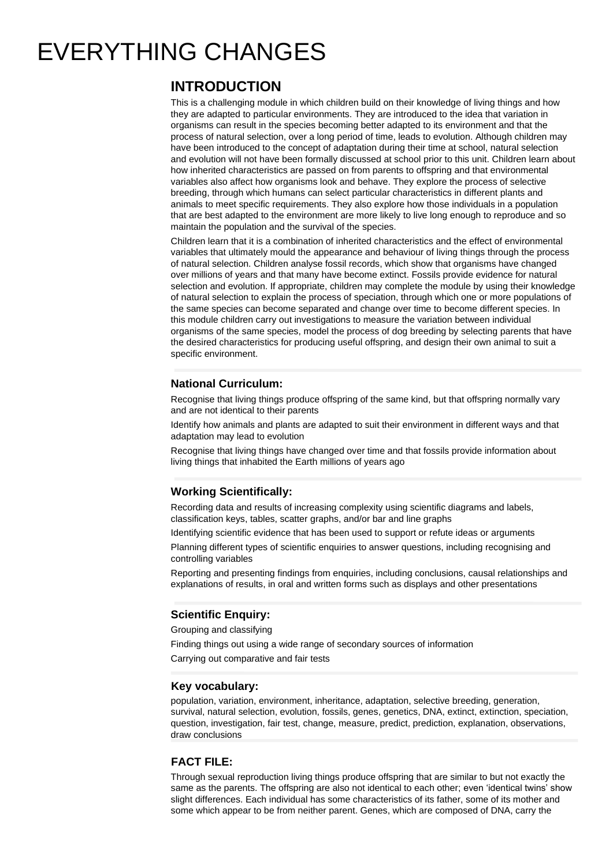# EVERYTHING CHANGES

# **INTRODUCTION**

This is a challenging module in which children build on their knowledge of living things and how they are adapted to particular environments. They are introduced to the idea that variation in organisms can result in the species becoming better adapted to its environment and that the process of natural selection, over a long period of time, leads to evolution. Although children may have been introduced to the concept of adaptation during their time at school, natural selection and evolution will not have been formally discussed at school prior to this unit. Children learn about how inherited characteristics are passed on from parents to offspring and that environmental variables also affect how organisms look and behave. They explore the process of selective breeding, through which humans can select particular characteristics in different plants and animals to meet specific requirements. They also explore how those individuals in a population that are best adapted to the environment are more likely to live long enough to reproduce and so maintain the population and the survival of the species.

Children learn that it is a combination of inherited characteristics and the effect of environmental variables that ultimately mould the appearance and behaviour of living things through the process of natural selection. Children analyse fossil records, which show that organisms have changed over millions of years and that many have become extinct. Fossils provide evidence for natural selection and evolution. If appropriate, children may complete the module by using their knowledge of natural selection to explain the process of speciation, through which one or more populations of the same species can become separated and change over time to become different species. In this module children carry out investigations to measure the variation between individual organisms of the same species, model the process of dog breeding by selecting parents that have the desired characteristics for producing useful offspring, and design their own animal to suit a specific environment.

#### **National Curriculum:**

Recognise that living things produce offspring of the same kind, but that offspring normally vary and are not identical to their parents

Identify how animals and plants are adapted to suit their environment in different ways and that adaptation may lead to evolution

Recognise that living things have changed over time and that fossils provide information about living things that inhabited the Earth millions of years ago

## **Working Scientifically:**

Recording data and results of increasing complexity using scientific diagrams and labels, classification keys, tables, scatter graphs, and/or bar and line graphs

Identifying scientific evidence that has been used to support or refute ideas or arguments

Planning different types of scientific enquiries to answer questions, including recognising and controlling variables

Reporting and presenting findings from enquiries, including conclusions, causal relationships and explanations of results, in oral and written forms such as displays and other presentations

## **Scientific Enquiry:**

Grouping and classifying

Finding things out using a wide range of secondary sources of information

Carrying out comparative and fair tests

#### **Key vocabulary:**

population, variation, environment, inheritance, adaptation, selective breeding, generation, survival, natural selection, evolution, fossils, genes, genetics, DNA, extinct, extinction, speciation, question, investigation, fair test, change, measure, predict, prediction, explanation, observations, draw conclusions

#### **FACT FILE:**

Through sexual reproduction living things produce offspring that are similar to but not exactly the same as the parents. The offspring are also not identical to each other; even 'identical twins' show slight differences. Each individual has some characteristics of its father, some of its mother and some which appear to be from neither parent. Genes, which are composed of DNA, carry the